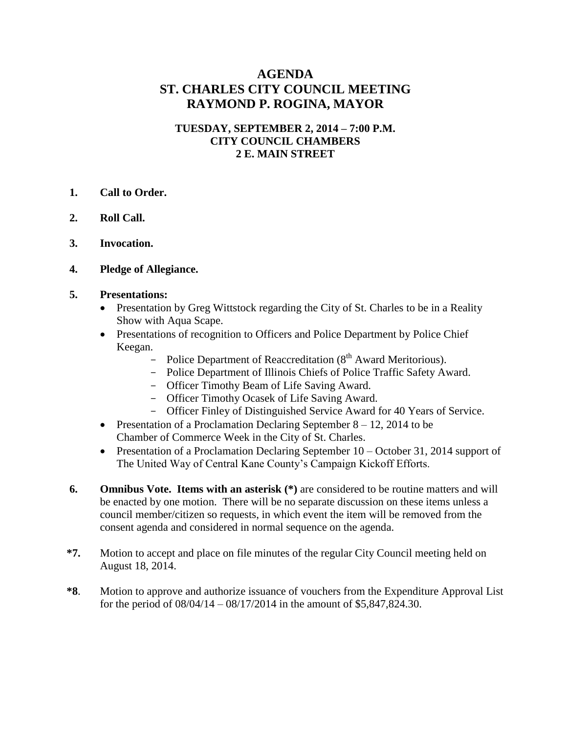## **AGENDA ST. CHARLES CITY COUNCIL MEETING RAYMOND P. ROGINA, MAYOR**

#### **TUESDAY, SEPTEMBER 2, 2014 – 7:00 P.M. CITY COUNCIL CHAMBERS 2 E. MAIN STREET**

- **1. Call to Order.**
- **2. Roll Call.**
- **3. Invocation.**
- **4. Pledge of Allegiance.**
- **5. Presentations:**
	- Presentation by Greg Wittstock regarding the City of St. Charles to be in a Reality Show with Aqua Scape.
	- Presentations of recognition to Officers and Police Department by Police Chief Keegan.
		- Police Department of Reaccreditation  $(8<sup>th</sup> Award Meritorious).$
		- Police Department of Illinois Chiefs of Police Traffic Safety Award.
		- Officer Timothy Beam of Life Saving Award.
		- Officer Timothy Ocasek of Life Saving Award.
		- Officer Finley of Distinguished Service Award for 40 Years of Service.
	- Presentation of a Proclamation Declaring September  $8 12$ , 2014 to be Chamber of Commerce Week in the City of St. Charles.
	- Presentation of a Proclamation Declaring September 10 October 31, 2014 support of The United Way of Central Kane County's Campaign Kickoff Efforts.
- **6. Omnibus Vote. Items with an asterisk** (\*) are considered to be routine matters and will be enacted by one motion. There will be no separate discussion on these items unless a council member/citizen so requests, in which event the item will be removed from the consent agenda and considered in normal sequence on the agenda.
- **\*7.** Motion to accept and place on file minutes of the regular City Council meeting held on August 18, 2014.
- **\*8**. Motion to approve and authorize issuance of vouchers from the Expenditure Approval List for the period of 08/04/14 – 08/17/2014 in the amount of \$5,847,824.30.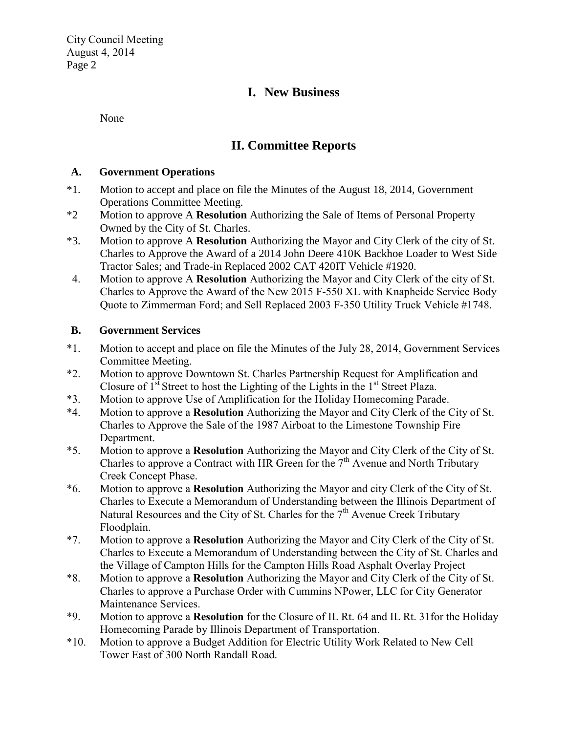City Council Meeting August 4, 2014 Page 2

# **I. New Business**

None

# **II. Committee Reports**

#### **A. Government Operations**

- \*1. Motion to accept and place on file the Minutes of the August 18, 2014, Government Operations Committee Meeting.
- \*2 Motion to approve A **Resolution** Authorizing the Sale of Items of Personal Property Owned by the City of St. Charles.
- \*3. Motion to approve A **Resolution** Authorizing the Mayor and City Clerk of the city of St. Charles to Approve the Award of a 2014 John Deere 410K Backhoe Loader to West Side Tractor Sales; and Trade-in Replaced 2002 CAT 420IT Vehicle #1920.
- 4. Motion to approve A **Resolution** Authorizing the Mayor and City Clerk of the city of St. Charles to Approve the Award of the New 2015 F-550 XL with Knapheide Service Body Quote to Zimmerman Ford; and Sell Replaced 2003 F-350 Utility Truck Vehicle #1748.

### **B. Government Services**

- \*1. Motion to accept and place on file the Minutes of the July 28, 2014, Government Services Committee Meeting.
- \*2. Motion to approve Downtown St. Charles Partnership Request for Amplification and Closure of  $1<sup>st</sup>$  Street to host the Lighting of the Lights in the  $1<sup>st</sup>$  Street Plaza.
- \*3. Motion to approve Use of Amplification for the Holiday Homecoming Parade.
- \*4. Motion to approve a **Resolution** Authorizing the Mayor and City Clerk of the City of St. Charles to Approve the Sale of the 1987 Airboat to the Limestone Township Fire Department.
- \*5. Motion to approve a **Resolution** Authorizing the Mayor and City Clerk of the City of St. Charles to approve a Contract with HR Green for the  $7<sup>th</sup>$  Avenue and North Tributary Creek Concept Phase.
- \*6. Motion to approve a **Resolution** Authorizing the Mayor and city Clerk of the City of St. Charles to Execute a Memorandum of Understanding between the Illinois Department of Natural Resources and the City of St. Charles for the  $7<sup>th</sup>$  Avenue Creek Tributary Floodplain.
- \*7. Motion to approve a **Resolution** Authorizing the Mayor and City Clerk of the City of St. Charles to Execute a Memorandum of Understanding between the City of St. Charles and the Village of Campton Hills for the Campton Hills Road Asphalt Overlay Project
- \*8. Motion to approve a **Resolution** Authorizing the Mayor and City Clerk of the City of St. Charles to approve a Purchase Order with Cummins NPower, LLC for City Generator Maintenance Services.
- \*9. Motion to approve a **Resolution** for the Closure of IL Rt. 64 and IL Rt. 31for the Holiday Homecoming Parade by Illinois Department of Transportation.
- \*10. Motion to approve a Budget Addition for Electric Utility Work Related to New Cell Tower East of 300 North Randall Road.